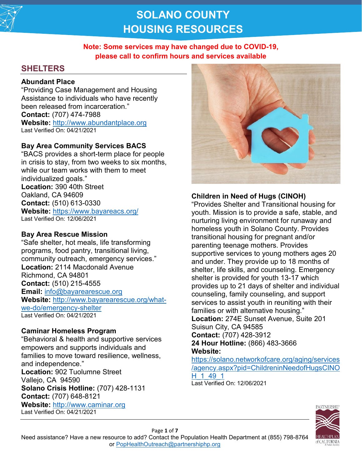

## **Note: Some services may have changed due to COVID-19, please call to confirm hours and services available**

# **SHELTERS**

### **Abundant Place**

"Providing Case Management and Housing Assistance to individuals who have recently been released from incarceration." **Contact:** (707) 474-7988 **Website:** [http://www.abundantplace.org](http://www.abundantplace.org/) Last Verified On: 04/21/2021

### **Bay Area Community Services BACS**

"BACS provides a short-term place for people in crisis to stay, from two weeks to six months, while our team works with them to meet individualized goals." **Location:** 390 40th Street Oakland, CA 94609 **Contact:** (510) 613-0330 **Website:** <https://www.bayareacs.org/> Last Verified On: 12/06/2021

### **Bay Area Rescue Mission**

"Safe shelter, hot meals, life transforming programs, food pantry, transitional living, community outreach, emergency services." **Location:** 2114 Macdonald Avenue Richmond, CA 94801 **Contact:** (510) 215-4555 **Email:** [info@bayarearescue.org](mailto:info@bayarearescue.org) **Website:** [http://www.bayarearescue.org/what](http://www.bayarearescue.org/what-we-do/emergency-shelter)[we-do/emergency-shelter](http://www.bayarearescue.org/what-we-do/emergency-shelter) Last Verified On: 04/21/2021

### **Caminar Homeless Program**

"Behavioral & health and supportive services empowers and supports individuals and families to move toward resilience, wellness, and independence." **Location:** 902 Tuolumne Street Vallejo, CA 94590 **Solano Crisis Hotline:** (707) 428-1131 **Contact:** (707) 648-8121 **Website:** [http://www.caminar.org](http://www.caminar.org/) Last Verified On: 04/21/2021



### **Children in Need of Hugs (CINOH)**

"Provides Shelter and Transitional housing for youth. Mission is to provide a safe, stable, and nurturing living environment for runaway and homeless youth in Solano County. Provides transitional housing for pregnant and/or parenting teenage mothers. Provides supportive services to young mothers ages 20 and under. They provide up to 18 months of shelter, life skills, and counseling. Emergency shelter is provided for youth 13-17 which provides up to 21 days of shelter and individual counseling, family counseling, and support services to assist youth in reuniting with their families or with alternative housing." **Location:** 274E Sunset Avenue, Suite 201 Suisun City, CA 94585 **Contact:** (707) 428-3912 **24 Hour Hotline:** (866) 483-3666 **Website:**

[https://solano.networkofcare.org/aging/services](https://solano.networkofcare.org/aging/services/agency.aspx?pid=ChildreninNeedofHugsCINOH_1_49_1) [/agency.aspx?pid=ChildreninNeedofHugsCINO](https://solano.networkofcare.org/aging/services/agency.aspx?pid=ChildreninNeedofHugsCINOH_1_49_1) [H\\_1\\_49\\_1](https://solano.networkofcare.org/aging/services/agency.aspx?pid=ChildreninNeedofHugsCINOH_1_49_1) Last Verified On: 12/06/2021



Need assistance? Have a new resource to add? Contact the Population Health Department at (855) 798-8764 or [PopHealthOutreach@partnershiphp.org](mailto:PopHealthOutreach@partnershiphp.org)

Page **1** of **7**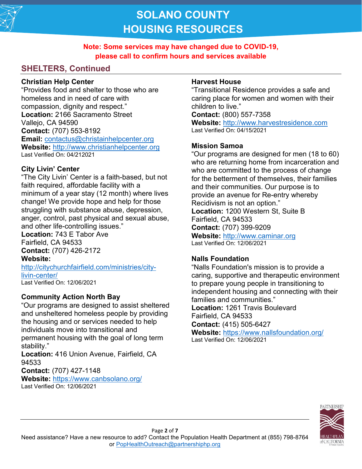

**Note: Some services may have changed due to COVID-19, please call to confirm hours and services available**

# **SHELTERS, Continued**

### **Christian Help Center**

"Provides food and shelter to those who are homeless and in need of care with compassion, dignity and respect." **Location:** 2166 Sacramento Street Vallejo, CA 94590 **Contact:** (707) 553-8192 **Email:** [contactus@christainhelpcenter.org](mailto:contactus@christainhelpcenter.org) **Website:** [http://www.christianhelpcenter.org](http://www.christianhelpcenter.org/) Last Verified On: 04/212021

# **City Livin' Center**

"The City Livin' Center is a faith-based, but not faith required, affordable facility with a minimum of a year stay (12 month) where lives change! We provide hope and help for those struggling with substance abuse, depression, anger, control, past physical and sexual abuse, and other life-controlling issues."

**Location:** 743 E Tabor Ave Fairfield, CA 94533 **Contact:** (707) 426-2172 **Website:**

[http://citychurchfairfield.com/ministries/city](http://citychurchfairfield.com/ministries/city-livin-center/)[livin-center/](http://citychurchfairfield.com/ministries/city-livin-center/) Last Verified On: 12/06/2021

# **Community Action North Bay**

"Our programs are designed to assist sheltered and unsheltered homeless people by providing the housing and or services needed to help individuals move into transitional and permanent housing with the goal of long term stability."

**Location:** 416 Union Avenue, Fairfield, CA 94533

**Contact:** (707) 427-1148

**Website:** <https://www.canbsolano.org/> Last Verified On: 12/06/2021

## **Harvest House**

"Transitional Residence provides a safe and caring place for women and women with their children to live."

**Contact:** (800) 557-7358

**Website:** [http://www.harvestresidence.com](http://www.harvestresidence.com/) Last Verified On: 04/15/2021

# **Mission Samoa**

"Our programs are designed for men (18 to 60) who are returning home from incarceration and who are committed to the process of change for the betterment of themselves, their families and their communities. Our purpose is to provide an avenue for Re-entry whereby Recidivism is not an option." **Location:** 1200 Western St, Suite B Fairfield, CA 94533 **Contact:** (707) 399-9209 **Website:** [http://www.caminar.org](http://www.caminar.org/) Last Verified On: 12/06/2021

# **Nalls Foundation**

"Nalls Foundation's mission is to provide a caring, supportive and therapeutic environment to prepare young people in transitioning to independent housing and connecting with their families and communities." **Location:** 1261 Travis Boulevard Fairfield, CA 94533 **Contact:** (415) 505-6427 **Website:** <https://www.nallsfoundation.org/> Last Verified On: 12/06/2021

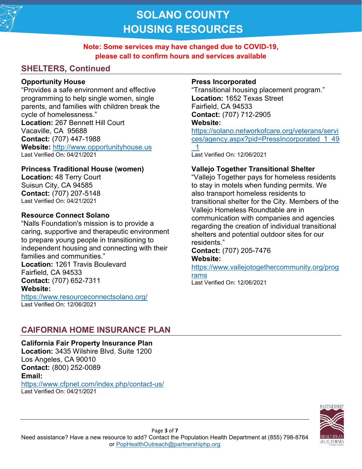

## **Note: Some services may have changed due to COVID-19, please call to confirm hours and services available**

# **SHELTERS, Continued**

### **Opportunity House**

"Provides a safe environment and effective programming to help single women, single parents, and families with children break the cycle of homelessness." **Location:** 267 Bennett Hill Court Vacaville, CA 95688 **Contact:** (707) 447-1988 **Website:** [http://www.opportunityhouse.us](http://www.opportunityhouse.us/) Last Verified On: 04/21/2021

### **Princess Traditional House (women)**

**Location:** 48 Terry Court Suisun City, CA 94585 **Contact:** (707) 207-5148 Last Verified On: 04/21/2021

### **Resource Connect Solano**

"Nalls Foundation's mission is to provide a caring, supportive and therapeutic environment to prepare young people in transitioning to independent housing and connecting with their families and communities." **Location:** 1261 Travis Boulevard Fairfield, CA 94533

**Contact:** (707) 652-7311 **Website:**

<https://www.resourceconnectsolano.org/> Last Verified On: 12/06/2021

## **Press Incorporated**

"Transitional housing placement program." **Location:** 1652 Texas Street Fairfield, CA 94533 **Contact:** (707) 712-2905 **Website:** [https://solano.networkofcare.org/veterans/servi](https://solano.networkofcare.org/veterans/services/agency.aspx?pid=PressIncorporated_1_49_1)

[ces/agency.aspx?pid=PressIncorporated\\_1\\_49](https://solano.networkofcare.org/veterans/services/agency.aspx?pid=PressIncorporated_1_49_1)  $\overline{\phantom{0}1}$ 

Last Verified On: 12/06/2021

### **Vallejo Together Transitional Shelter**

"Vallejo Together pays for homeless residents to stay in motels when funding permits. We also transport homeless residents to transitional shelter for the City. Members of the Vallejo Homeless Roundtable are in communication with companies and agencies regarding the creation of individual transitional shelters and potential outdoor sites for our residents."

**Contact:** (707) 205-7476 **Website:**

[https://www.vallejotogethercommunity.org/prog](https://www.vallejotogethercommunity.org/programs) [rams](https://www.vallejotogethercommunity.org/programs)

Last Verified On: 12/06/2021

# **CAIFORNIA HOME INSURANCE PLAN**

**California Fair Property Insurance Plan Location:** 3435 Wilshire Blvd. Suite 1200 Los Angeles, CA 90010 **Contact:** (800) 252-0089 **Email:**  <https://www.cfpnet.com/index.php/contact-us/>

Last Verified On: 04/21/2021

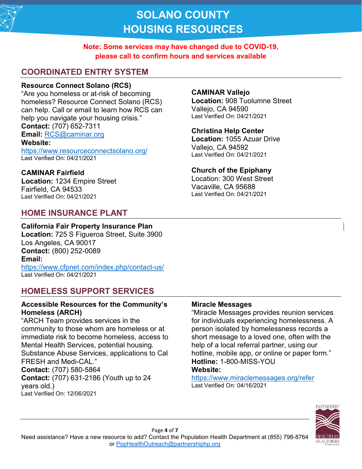

## **Note: Some services may have changed due to COVID-19, please call to confirm hours and services available**

# **COORDINATED ENTRY SYSTEM**

### **Resource Connect Solano (RCS)**

"Are you homeless or at-risk of becoming homeless? Resource Connect Solano (RCS) can help. Call or email to learn how RCS can help you navigate your housing crisis." **Contact:** (707) 652-7311 **Email:** [RCS@caminar.org](mailto:RCS@caminar.org) **Website:**  <https://www.resourceconnectsolano.org/> Last Verified On: 04/21/2021

**CAMINAR Fairfield Location:** 1234 Empire Street Fairfield, CA 94533 Last Verified On: 04/21/2021

# **HOME INSURANCE PLANT**

### **CAMINAR Vallejo**

**Location:** 908 Tuolumne Street Vallejo, CA 94590 Last Verified On: 04/21/2021

#### **Christina Help Center**

**Location:** 1055 Azuar Drive Vallejo, CA 94592 Last Verified On: 04/21/2021

### **Church of the Epiphany**

Location: 300 West Street Vacaville, CA 95688 Last Verified On: 04/21/2021

### **California Fair Property Insurance Plan**

**Location:** 725 S Figueroa Street, Suite 3900 Los Angeles, CA 90017 **Contact:** (800) 252-0089 **Email:**  <https://www.cfpnet.com/index.php/contact-us/> Last Verified On: 04/21/2021

# **HOMELESS SUPPORT SERVICES**

### **Accessible Resources for the Community's Homeless (ARCH)**

"ARCH Team provides services in the community to those whom are homeless or at immediate risk to become homeless, access to Mental Health Services, potential housing. Substance Abuse Services, applications to Cal FRESH and Medi-CAL." **Contact:** (707) 580-5864 **Contact:** (707) 631-2186 (Youth up to 24 years old.) Last Verified On: 12/06/2021

### **Miracle Messages**

"Miracle Messages provides reunion services for individuals experiencing homelessness. A person isolated by homelessness records a short message to a loved one, often with the help of a local referral partner, using our hotline, mobile app, or online or paper form." **Hotline:** 1-800-MISS-YOU **Website:** 

<https://www.miraclemessages.org/refer> Last Verified On: 04/16/2021



Page **4** of **7** Need assistance? Have a new resource to add? Contact the Population Health Department at (855) 798-8764 or [PopHealthOutreach@partnershiphp.org](mailto:PopHealthOutreach@partnershiphp.org)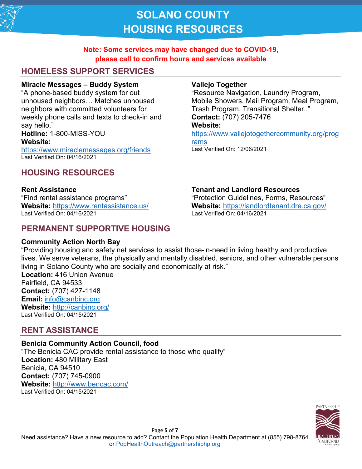

### **Note: Some services may have changed due to COVID-19, please call to confirm hours and services available**

# **HOMELESS SUPPORT SERVICES**

#### **Miracle Messages – Buddy System**

"A phone-based buddy system for out unhoused neighbors… Matches unhoused neighbors with committed volunteers for weekly phone calls and texts to check-in and say hello." **Hotline:** 1-800-MISS-YOU **Website:**  <https://www.miraclemessages.org/friends>

Last Verified On: 04/16/2021

# **HOUSING RESOURCES**

#### **Rent Assistance**

"Find rental assistance programs" **Website:** <https://www.rentassistance.us/> Last Verified On: 04/16/2021

# **PERMANENT SUPPORTIVE HOUSING**

### **Community Action North Bay**

#### **Vallejo Together**

"Resource Navigation, Laundry Program, Mobile Showers, Mail Program, Meal Program, Trash Program, Transitional Shelter.." **Contact:** (707) 205-7476 **Website:**

[https://www.vallejotogethercommunity.org/prog](https://www.vallejotogethercommunity.org/programs)

[rams](https://www.vallejotogethercommunity.org/programs)

Last Verified On: 12/06/2021

#### **Tenant and Landlord Resources**

"Protection Guidelines, Forms, Resources" **Website:** <https://landlordtenant.dre.ca.gov/> Last Verified On: 04/16/2021

"Providing housing and safety net services to assist those-in-need in living healthy and productive lives. We serve veterans, the physically and mentally disabled, seniors, and other vulnerable persons living in Solano County who are socially and economically at risk." **Location:** 416 Union Avenue Fairfield, CA 94533 **Contact:** (707) 427-1148 **Email:** [info@canbinc.org](mailto:info@canbinc.org) **Website:** <http://canbinc.org/> Last Verified On: 04/15/2021

## **RENT ASSISTANCE**

#### **Benicia Community Action Council, food**  "The Benicia CAC provide rental assistance to those who qualify" **Location:** 480 Military East Benicia, CA 94510 **Contact:** (707) 745-0900 **Website:** <http://www.bencac.com/> Last Verified On: 04/15/2021

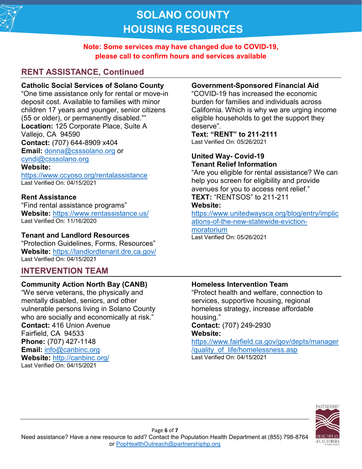

### **Note: Some services may have changed due to COVID-19, please call to confirm hours and services available**

# **RENT ASSISTANCE, Continued**

## **Catholic Social Services of Solano County**

"One time assistance only for rental or move-in deposit cost. Available to families with minor children 17 years and younger, senior citizens (55 or older), or permanently disabled."" **Location:** 125 Corporate Place, Suite A Vallejo, CA 94590 **Contact:** (707) 644-8909 x404 **Email:** [donna@csssolano.org](mailto:donna@csssolano.org) or [cyndi@csssolano.org](mailto:cyndi@csssolano.org)

### **Website:**

<https://www.ccyoso.org/rentalassistance> Last Verified On: 04/15/2021

### **Rent Assistance**

"Find rental assistance programs" **Website:** <https://www.rentassistance.us/> Last Verified On: 11/16/2020

### **Tenant and Landlord Resources**

"Protection Guidelines, Forms, Resources" **Website:** <https://landlordtenant.dre.ca.gov/> Last Verified On: 04/15/2021

# **INTERVENTION TEAM**

### **Community Action North Bay (CANB)**

"We serve veterans, the physically and mentally disabled, seniors, and other vulnerable persons living in Solano County who are socially and economically at risk." **Contact:** 416 Union Avenue Fairfield, CA 94533 **Phone:** (707) 427-1148 **Email:** [info@canbinc.org](mailto:info@canbinc.org) **Website:** <http://canbinc.org/> Last Verified On: 04/15/2021

### **Government-Sponsored Financial Aid**

"COVID-19 has increased the economic burden for families and individuals across California. Which is why we are urging income eligible households to get the support they deserve".

**Text: "RENT" to 211-2111**

Last Verified On: 05/26/2021

#### **United Way- Covid-19 Tenant Relief Information**

"Are you eligible for rental assistance? We can help you screen for eligibility and provide avenues for you to access rent relief." **TEXT:** "RENTSOS" to 211-211

### **Website:**

[https://www.unitedwaysca.org/blog/entry/implic](https://www.unitedwaysca.org/blog/entry/implications-of-the-new-statewide-eviction-moratorium) [ations-of-the-new-statewide-eviction-](https://www.unitedwaysca.org/blog/entry/implications-of-the-new-statewide-eviction-moratorium)

[moratorium](https://www.unitedwaysca.org/blog/entry/implications-of-the-new-statewide-eviction-moratorium) Last Verified On: 05/26/2021

### **Homeless Intervention Team**

"Protect health and welfare, connection to services, supportive housing, regional homeless strategy, increase affordable housing." **Contact:** (707) 249-2930

#### **Website:**

[https://www.fairfield.ca.gov/gov/depts/manager](https://www.fairfield.ca.gov/gov/depts/manager/quality_of_life/homelessness.asp) [/quality\\_of\\_life/homelessness.asp](https://www.fairfield.ca.gov/gov/depts/manager/quality_of_life/homelessness.asp) Last Verified On: 04/15/2021